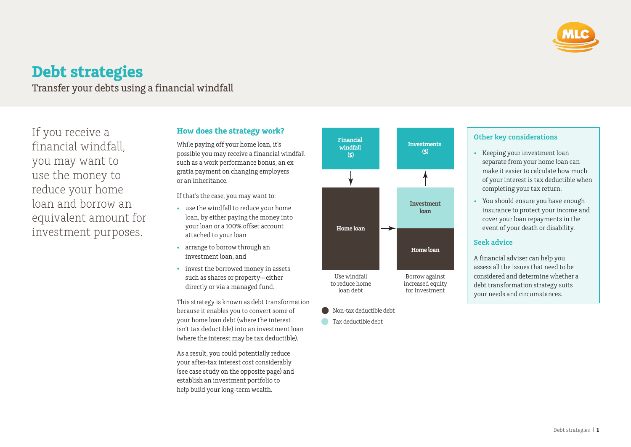

# **Debt strategies**

Transfer your debts using a financial windfall

If you receive a financial windfall, you may want to use the money to reduce your home loan and borrow an equivalent amount for investment purposes.

## **How does the strategy work?**

While paying off your home loan, it's possible you may receive a financial windfall such as a work performance bonus, an ex gratia payment on changing employers or an inheritance.

If that's the case, you may want to:

- use the windfall to reduce your home loan, by either paying the money into your loan or a 100% offset account attached to your loan
- arrange to borrow through an investment loan, and
- invest the borrowed money in assets such as shares or property—either directly or via a managed fund.

This strategy is known as debt transformation because it enables you to convert some of your home loan debt (where the interest isn't tax deductible) into an investment loan (where the interest may be tax deductible).

As a result, you could potentially reduce your after‑tax interest cost considerably (see case study on the opposite page) and establish an investment portfolio to help build your long‑term wealth.



- Non-tax deductible debt
- **Tax deductible debt**

### **Other key considerations**

- Keeping your investment loan separate from your home loan can make it easier to calculate how much of your interest is tax deductible when completing your tax return.
- You should ensure you have enough insurance to protect your income and cover your loan repayments in the event of your death or disability.

#### **Seek advice**

A financial adviser can help you assess all the issues that need to be considered and determine whether a debt transformation strategy suits your needs and circumstances.